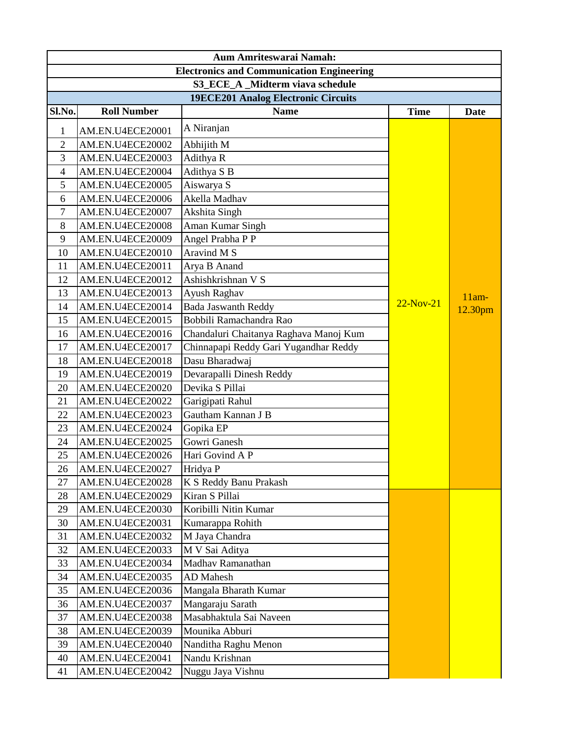| Aum Amriteswarai Namah:                          |                    |                                        |             |             |
|--------------------------------------------------|--------------------|----------------------------------------|-------------|-------------|
| <b>Electronics and Communication Engineering</b> |                    |                                        |             |             |
| S3_ECE_A _Midterm viava schedule                 |                    |                                        |             |             |
| <b>19ECE201 Analog Electronic Circuits</b>       |                    |                                        |             |             |
| Sl.No.                                           | <b>Roll Number</b> | <b>Name</b>                            | <b>Time</b> | <b>Date</b> |
| 1                                                | AM.EN.U4ECE20001   | A Niranjan                             |             |             |
| $\overline{2}$                                   | AM.EN.U4ECE20002   | Abhijith M                             |             |             |
| 3                                                | AM.EN.U4ECE20003   | Adithya R                              |             |             |
| $\overline{4}$                                   | AM.EN.U4ECE20004   | Adithya S B                            |             |             |
| 5                                                | AM.EN.U4ECE20005   | Aiswarya S                             |             |             |
| 6                                                | AM.EN.U4ECE20006   | Akella Madhav                          |             |             |
| 7                                                | AM.EN.U4ECE20007   | Akshita Singh                          |             |             |
| 8                                                | AM.EN.U4ECE20008   | Aman Kumar Singh                       |             |             |
| 9                                                | AM.EN.U4ECE20009   | Angel Prabha P P                       |             |             |
| 10                                               | AM.EN.U4ECE20010   | Aravind M S                            |             |             |
| 11                                               | AM.EN.U4ECE20011   | Arya B Anand                           |             |             |
| 12                                               | AM.EN.U4ECE20012   | Ashishkrishnan V S                     |             |             |
| 13                                               | AM.EN.U4ECE20013   | Ayush Raghav                           |             | $11am-$     |
| 14                                               | AM.EN.U4ECE20014   | <b>Bada Jaswanth Reddy</b>             | $22-Nov-21$ | 12.30pm     |
| 15                                               | AM.EN.U4ECE20015   | Bobbili Ramachandra Rao                |             |             |
| 16                                               | AM.EN.U4ECE20016   | Chandaluri Chaitanya Raghava Manoj Kum |             |             |
| 17                                               | AM.EN.U4ECE20017   | Chinnapapi Reddy Gari Yugandhar Reddy  |             |             |
| 18                                               | AM.EN.U4ECE20018   | Dasu Bharadwaj                         |             |             |
| 19                                               | AM.EN.U4ECE20019   | Devarapalli Dinesh Reddy               |             |             |
| 20                                               | AM.EN.U4ECE20020   | Devika S Pillai                        |             |             |
| 21                                               | AM.EN.U4ECE20022   | Garigipati Rahul                       |             |             |
| 22                                               | AM.EN.U4ECE20023   | Gautham Kannan J B                     |             |             |
| 23                                               | AM.EN.U4ECE20024   | Gopika EP                              |             |             |
| 24                                               | AM.EN.U4ECE20025   | Gowri Ganesh                           |             |             |
| 25                                               | AM.EN.U4ECE20026   | Hari Govind A P                        |             |             |
| 26                                               | AM.EN.U4ECE20027   | Hridya P                               |             |             |
| 27                                               | AM.EN.U4ECE20028   | K S Reddy Banu Prakash                 |             |             |
| 28                                               | AM.EN.U4ECE20029   | Kiran S Pillai                         |             |             |
| 29                                               | AM.EN.U4ECE20030   | Koribilli Nitin Kumar                  |             |             |
| 30                                               | AM.EN.U4ECE20031   | Kumarappa Rohith                       |             |             |
| 31                                               | AM.EN.U4ECE20032   | M Jaya Chandra                         |             |             |
| 32                                               | AM.EN.U4ECE20033   | M V Sai Aditya                         |             |             |
| 33                                               | AM.EN.U4ECE20034   | Madhav Ramanathan                      |             |             |
| 34                                               | AM.EN.U4ECE20035   | AD Mahesh                              |             |             |
| 35                                               | AM.EN.U4ECE20036   | Mangala Bharath Kumar                  |             |             |
| 36                                               | AM.EN.U4ECE20037   | Mangaraju Sarath                       |             |             |
| 37                                               | AM.EN.U4ECE20038   | Masabhaktula Sai Naveen                |             |             |
| 38                                               | AM.EN.U4ECE20039   | Mounika Abburi                         |             |             |
| 39                                               | AM.EN.U4ECE20040   | Nanditha Raghu Menon                   |             |             |
| 40                                               | AM.EN.U4ECE20041   | Nandu Krishnan                         |             |             |
| 41                                               | AM.EN.U4ECE20042   | Nuggu Jaya Vishnu                      |             |             |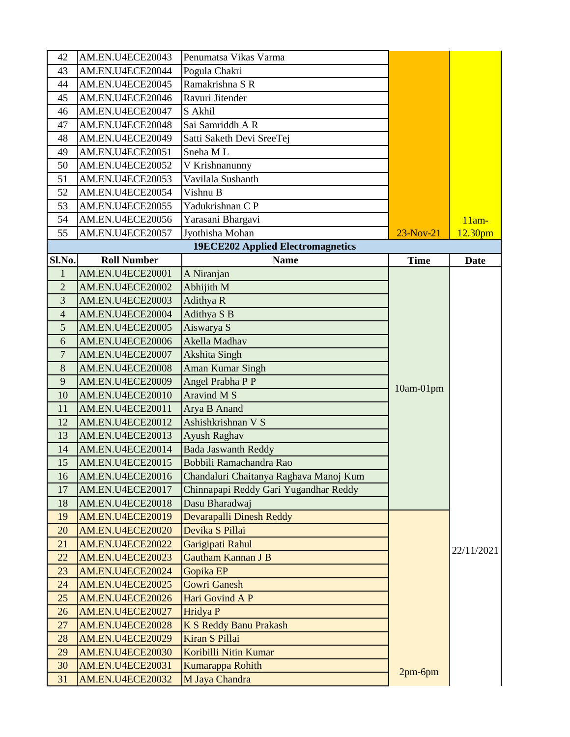| 42             | AM.EN.U4ECE20043        | Penumatsa Vikas Varma                    |             |                     |
|----------------|-------------------------|------------------------------------------|-------------|---------------------|
| 43             | AM.EN.U4ECE20044        | Pogula Chakri                            |             |                     |
| 44             | AM.EN.U4ECE20045        | Ramakrishna S R                          |             |                     |
| 45             | AM.EN.U4ECE20046        | Ravuri Jitender                          |             |                     |
| 46             | AM.EN.U4ECE20047        | S Akhil                                  |             |                     |
| 47             | AM.EN.U4ECE20048        | Sai Samriddh A R                         |             |                     |
| 48             | AM.EN.U4ECE20049        | Satti Saketh Devi SreeTej                |             |                     |
| 49             | AM.EN.U4ECE20051        | Sneha ML                                 |             |                     |
| 50             | AM.EN.U4ECE20052        | V Krishnanunny                           |             |                     |
| 51             | AM.EN.U4ECE20053        | Vavilala Sushanth                        |             |                     |
| 52             | AM.EN.U4ECE20054        | Vishnu B                                 |             |                     |
| 53             | AM.EN.U4ECE20055        | Yadukrishnan C P                         |             |                     |
| 54             | AM.EN.U4ECE20056        | Yarasani Bhargavi                        |             | $11am-$             |
| 55             | AM.EN.U4ECE20057        | Jyothisha Mohan                          | $23-Nov-21$ | 12.30 <sub>pm</sub> |
|                |                         | <b>19ECE202 Applied Electromagnetics</b> |             |                     |
| Sl.No.         | <b>Roll Number</b>      | <b>Name</b>                              | <b>Time</b> | <b>Date</b>         |
| $\mathbf{1}$   | AM.EN.U4ECE20001        | A Niranjan                               |             |                     |
| $\overline{2}$ | AM.EN.U4ECE20002        | Abhijith M                               |             |                     |
| 3              | AM.EN.U4ECE20003        | Adithya R                                |             |                     |
| $\overline{4}$ | AM.EN.U4ECE20004        | Adithya S B                              |             |                     |
| 5              | AM.EN.U4ECE20005        | Aiswarya S                               |             |                     |
| 6              | AM.EN.U4ECE20006        | Akella Madhav                            |             |                     |
| $\overline{7}$ | AM.EN.U4ECE20007        | <b>Akshita Singh</b>                     |             |                     |
| 8              | AM.EN.U4ECE20008        | <b>Aman Kumar Singh</b>                  |             |                     |
| 9              | AM.EN.U4ECE20009        | Angel Prabha P P                         | $10am-01pm$ |                     |
| 10             | AM.EN.U4ECE20010        | Aravind M S                              |             |                     |
| 11             | AM.EN.U4ECE20011        | Arya B Anand                             |             |                     |
| 12             | AM.EN.U4ECE20012        | Ashishkrishnan V S                       |             |                     |
| 13             | AM.EN.U4ECE20013        | Ayush Raghav                             |             |                     |
| 14             | AM.EN.U4ECE20014        | <b>Bada Jaswanth Reddy</b>               |             |                     |
| 15             | AM.EN.U4ECE20015        | Bobbili Ramachandra Rao                  |             |                     |
| 16             | AM.EN.U4ECE20016        | Chandaluri Chaitanya Raghava Manoj Kum   |             |                     |
| 17             | AM.EN.U4ECE20017        | Chinnapapi Reddy Gari Yugandhar Reddy    |             |                     |
| 18             | <b>AM.EN.U4ECE20018</b> | Dasu Bharadwaj                           |             |                     |
| 19             | <b>AM.EN.U4ECE20019</b> | Devarapalli Dinesh Reddy                 |             |                     |
| 20             | AM.EN.U4ECE20020        | Devika S Pillai                          |             |                     |
| 21             | <b>AM.EN.U4ECE20022</b> | Garigipati Rahul                         |             | 22/11/2021          |
| 22             | <b>AM.EN.U4ECE20023</b> | <b>Gautham Kannan J B</b>                |             |                     |
| 23             | AM.EN.U4ECE20024        | Gopika EP                                |             |                     |
| 24             | <b>AM.EN.U4ECE20025</b> | <b>Gowri Ganesh</b>                      |             |                     |
| 25             | <b>AM.EN.U4ECE20026</b> | Hari Govind A P                          |             |                     |
| 26             | <b>AM.EN.U4ECE20027</b> | Hridya P                                 |             |                     |
| 27             | <b>AM.EN.U4ECE20028</b> | <b>K S Reddy Banu Prakash</b>            |             |                     |
| 28             | <b>AM.EN.U4ECE20029</b> | Kiran S Pillai                           |             |                     |
| 29             | <b>AM.EN.U4ECE20030</b> | Koribilli Nitin Kumar                    |             |                     |
| 30             | <b>AM.EN.U4ECE20031</b> | Kumarappa Rohith                         | $2pm-6pm$   |                     |
| 31             | <b>AM.EN.U4ECE20032</b> | M Jaya Chandra                           |             |                     |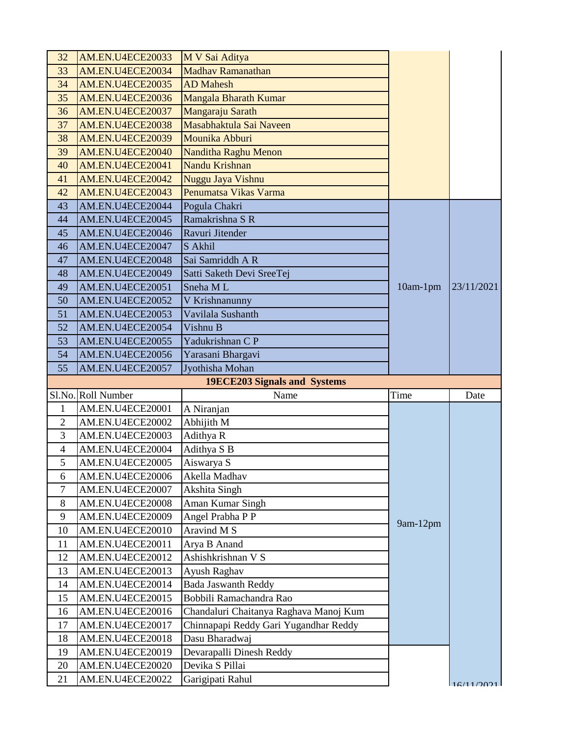| 32             | <b>AM.EN.U4ECE20033</b>              | M V Sai Aditya                         |            |            |
|----------------|--------------------------------------|----------------------------------------|------------|------------|
| 33             | AM.EN.U4ECE20034                     | Madhav Ramanathan                      |            |            |
| 34             | AM.EN.U4ECE20035                     | <b>AD</b> Mahesh                       |            |            |
| 35             | <b>AM.EN.U4ECE20036</b>              | Mangala Bharath Kumar                  |            |            |
| 36             | AM.EN.U4ECE20037                     | Mangaraju Sarath                       |            |            |
| 37             | <b>AM.EN.U4ECE20038</b>              | Masabhaktula Sai Naveen                |            |            |
| 38             | <b>AM.EN.U4ECE20039</b>              | Mounika Abburi                         |            |            |
| 39             | AM.EN.U4ECE20040                     | <b>Nanditha Raghu Menon</b>            |            |            |
| 40             | AM.EN.U4ECE20041                     | Nandu Krishnan                         |            |            |
| 41             | AM.EN.U4ECE20042                     | Nuggu Jaya Vishnu                      |            |            |
| 42             | AM.EN.U4ECE20043                     | Penumatsa Vikas Varma                  |            |            |
| 43             | AM.EN.U4ECE20044                     | Pogula Chakri                          |            |            |
| 44             | AM.EN.U4ECE20045                     | Ramakrishna S R                        |            |            |
| 45             | AM.EN.U4ECE20046                     | Ravuri Jitender                        |            |            |
| 46             | AM.EN.U4ECE20047                     | S Akhil                                |            |            |
| 47             | AM.EN.U4ECE20048                     | Sai Samriddh A R                       |            |            |
| 48             | AM.EN.U4ECE20049                     | Satti Saketh Devi SreeTej              |            |            |
| 49             | AM.EN.U4ECE20051                     | Sneha ML                               | $10am-1pm$ | 23/11/2021 |
| 50             | AM.EN.U4ECE20052                     | V Krishnanunny                         |            |            |
| 51             | AM.EN.U4ECE20053                     | Vavilala Sushanth                      |            |            |
| 52             | AM.EN.U4ECE20054                     | Vishnu B                               |            |            |
| 53             | AM.EN.U4ECE20055                     | Yadukrishnan C P                       |            |            |
| 54             | AM.EN.U4ECE20056                     | Yarasani Bhargavi                      |            |            |
| 55             | AM.EN.U4ECE20057                     | Jyothisha Mohan                        |            |            |
|                |                                      |                                        |            |            |
|                |                                      | 19ECE203 Signals and Systems           |            |            |
|                | Sl.No. Roll Number                   | Name                                   | Time       | Date       |
| $\mathbf{1}$   | AM.EN.U4ECE20001                     | A Niranjan                             |            |            |
| $\overline{2}$ | AM.EN.U4ECE20002                     | Abhijith M                             |            |            |
| 3              | AM.EN.U4ECE20003                     | Adithya R                              |            |            |
| 4              | AM.EN.U4ECE20004                     | Adithya S B                            |            |            |
| 5              | AM.EN.U4ECE20005                     | Aiswarya S                             |            |            |
| 6              | AM.EN.U4ECE20006                     | Akella Madhav                          |            |            |
| 7              | AM.EN.U4ECE20007                     | Akshita Singh                          |            |            |
| 8              | AM.EN.U4ECE20008                     | Aman Kumar Singh                       |            |            |
| 9              | AM.EN.U4ECE20009                     | Angel Prabha P P                       | 9am-12pm   |            |
| 10             | AM.EN.U4ECE20010                     | Aravind M S                            |            |            |
| 11             | AM.EN.U4ECE20011                     | Arya B Anand                           |            |            |
| 12             | AM.EN.U4ECE20012                     | Ashishkrishnan V S                     |            |            |
| 13             | AM.EN.U4ECE20013                     | Ayush Raghav                           |            |            |
| 14             | AM.EN.U4ECE20014                     | <b>Bada Jaswanth Reddy</b>             |            |            |
| 15             | AM.EN.U4ECE20015                     | Bobbili Ramachandra Rao                |            |            |
| 16             | AM.EN.U4ECE20016                     | Chandaluri Chaitanya Raghava Manoj Kum |            |            |
| 17             | AM.EN.U4ECE20017                     | Chinnapapi Reddy Gari Yugandhar Reddy  |            |            |
| 18             | AM.EN.U4ECE20018                     | Dasu Bharadwaj                         |            |            |
| 19             | AM.EN.U4ECE20019                     | Devarapalli Dinesh Reddy               |            |            |
| 20<br>21       | AM.EN.U4ECE20020<br>AM.EN.U4ECE20022 | Devika S Pillai<br>Garigipati Rahul    |            | 16/11/2021 |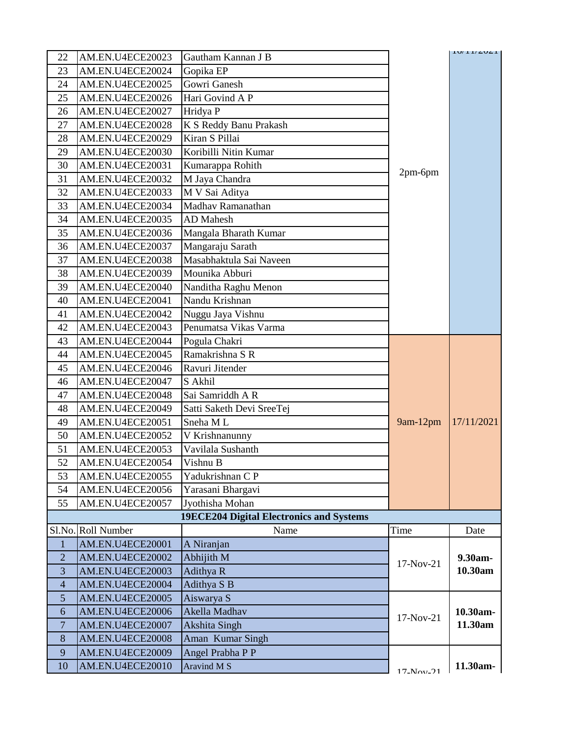| 22               | AM.EN.U4ECE20023   | Gautham Kannan J B                              |             | 10/11/2021 |
|------------------|--------------------|-------------------------------------------------|-------------|------------|
| 23               | AM.EN.U4ECE20024   | Gopika EP                                       |             |            |
| 24               | AM.EN.U4ECE20025   | Gowri Ganesh                                    |             |            |
| 25               | AM.EN.U4ECE20026   | Hari Govind A P                                 |             |            |
| 26               | AM.EN.U4ECE20027   | Hridya P                                        |             |            |
| 27               | AM.EN.U4ECE20028   | K S Reddy Banu Prakash                          |             |            |
| 28               | AM.EN.U4ECE20029   | Kiran S Pillai                                  |             |            |
| 29               | AM.EN.U4ECE20030   | Koribilli Nitin Kumar                           |             |            |
| 30               | AM.EN.U4ECE20031   | Kumarappa Rohith                                |             |            |
| 31               | AM.EN.U4ECE20032   | M Jaya Chandra                                  | 2pm-6pm     |            |
| 32               | AM.EN.U4ECE20033   | M V Sai Aditya                                  |             |            |
| 33               | AM.EN.U4ECE20034   | Madhav Ramanathan                               |             |            |
| 34               | AM.EN.U4ECE20035   | <b>AD</b> Mahesh                                |             |            |
| 35               | AM.EN.U4ECE20036   | Mangala Bharath Kumar                           |             |            |
| 36               | AM.EN.U4ECE20037   | Mangaraju Sarath                                |             |            |
| 37               | AM.EN.U4ECE20038   | Masabhaktula Sai Naveen                         |             |            |
| 38               | AM.EN.U4ECE20039   | Mounika Abburi                                  |             |            |
| 39               | AM.EN.U4ECE20040   | Nanditha Raghu Menon                            |             |            |
| 40               | AM.EN.U4ECE20041   | Nandu Krishnan                                  |             |            |
| 41               | AM.EN.U4ECE20042   | Nuggu Jaya Vishnu                               |             |            |
| 42               | AM.EN.U4ECE20043   | Penumatsa Vikas Varma                           |             |            |
| 43               | AM.EN.U4ECE20044   | Pogula Chakri                                   |             |            |
| 44               | AM.EN.U4ECE20045   | Ramakrishna S R                                 |             |            |
| 45               | AM.EN.U4ECE20046   | Ravuri Jitender                                 |             |            |
| 46               | AM.EN.U4ECE20047   | S Akhil                                         |             |            |
| 47               | AM.EN.U4ECE20048   | Sai Samriddh A R                                |             |            |
| 48               | AM.EN.U4ECE20049   | Satti Saketh Devi SreeTej                       |             |            |
| 49               | AM.EN.U4ECE20051   | Sneha ML                                        | $9am-12pm$  | 17/11/2021 |
| 50               | AM.EN.U4ECE20052   | V Krishnanunny                                  |             |            |
| 51               | AM.EN.U4ECE20053   | Vavilala Sushanth                               |             |            |
| 52               | AM.EN.U4ECE20054   | Vishnu B                                        |             |            |
| 53               | AM.EN.U4ECE20055   | Yadukrishnan C P                                |             |            |
| 54               | AM.EN.U4ECE20056   | Yarasani Bhargavi                               |             |            |
| 55               | AM.EN.U4ECE20057   | Jyothisha Mohan                                 |             |            |
|                  |                    | <b>19ECE204 Digital Electronics and Systems</b> |             |            |
|                  | Sl.No. Roll Number | Name                                            | Time        | Date       |
| $\mathbf{1}$     | AM.EN.U4ECE20001   | A Niranjan                                      |             |            |
| $\overline{2}$   | AM.EN.U4ECE20002   | Abhijith M                                      | 17-Nov-21   | 9.30am-    |
| 3                | AM.EN.U4ECE20003   | Adithya R                                       |             | 10.30am    |
| $\overline{4}$   | AM.EN.U4ECE20004   | Adithya S B                                     |             |            |
| 5                | AM.EN.U4ECE20005   | Aiswarya S                                      |             |            |
| $\boldsymbol{6}$ | AM.EN.U4ECE20006   | Akella Madhav                                   | $17-Nov-21$ | 10.30am-   |
| $\overline{7}$   | AM.EN.U4ECE20007   | Akshita Singh                                   |             | 11.30am    |
| 8                | AM.EN.U4ECE20008   | Aman Kumar Singh                                |             |            |
| 9                | AM.EN.U4ECE20009   | Angel Prabha P P                                |             |            |
| 10               | AM.EN.U4ECE20010   | Aravind M S                                     | $17-Nov-21$ | 11.30am-   |
|                  |                    |                                                 |             |            |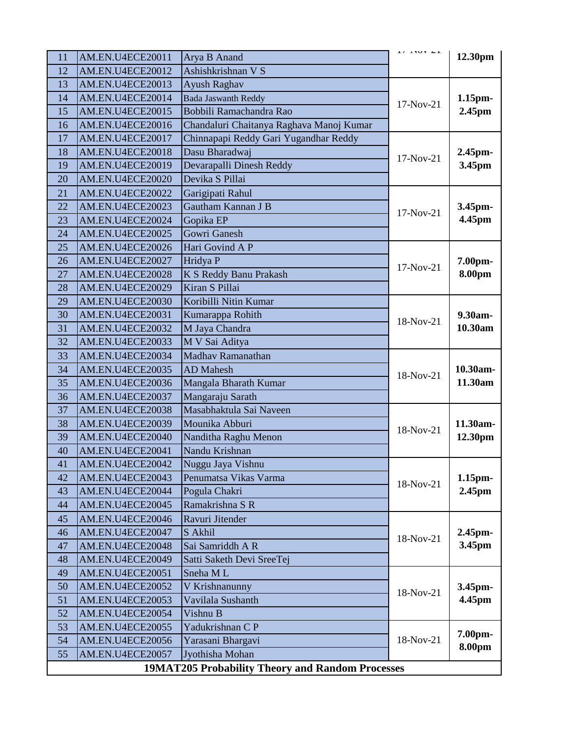| 11                                               | AM.EN.U4ECE20011 | Arya B Anand                             | ⊥ / ¯⊥ ¶∪ V ¯∠ ⊥ | 12.30pm       |
|--------------------------------------------------|------------------|------------------------------------------|------------------|---------------|
| 12                                               | AM.EN.U4ECE20012 | Ashishkrishnan V S                       |                  |               |
| 13                                               | AM.EN.U4ECE20013 | Ayush Raghav                             |                  |               |
| 14                                               | AM.EN.U4ECE20014 | <b>Bada Jaswanth Reddy</b>               | $17-Nov-21$      | $1.15$ pm $-$ |
| 15                                               | AM.EN.U4ECE20015 | Bobbili Ramachandra Rao                  |                  | 2.45pm        |
| 16                                               | AM.EN.U4ECE20016 | Chandaluri Chaitanya Raghava Manoj Kumar |                  |               |
| 17                                               | AM.EN.U4ECE20017 | Chinnapapi Reddy Gari Yugandhar Reddy    |                  |               |
| 18                                               | AM.EN.U4ECE20018 | Dasu Bharadwaj                           |                  | 2.45pm-       |
| 19                                               | AM.EN.U4ECE20019 | Devarapalli Dinesh Reddy                 | 17-Nov-21        | 3.45pm        |
| 20                                               | AM.EN.U4ECE20020 | Devika S Pillai                          |                  |               |
| 21                                               | AM.EN.U4ECE20022 | Garigipati Rahul                         |                  |               |
| 22                                               | AM.EN.U4ECE20023 | Gautham Kannan J B                       |                  | 3.45pm-       |
| 23                                               | AM.EN.U4ECE20024 | Gopika EP                                | $17-Nov-21$      | 4.45pm        |
| 24                                               | AM.EN.U4ECE20025 | Gowri Ganesh                             |                  |               |
| 25                                               | AM.EN.U4ECE20026 | Hari Govind A P                          |                  |               |
| 26                                               | AM.EN.U4ECE20027 | Hridya P                                 |                  | 7.00pm-       |
| 27                                               | AM.EN.U4ECE20028 | K S Reddy Banu Prakash                   | $17-Nov-21$      | 8.00pm        |
| 28                                               | AM.EN.U4ECE20029 | Kiran S Pillai                           |                  |               |
| 29                                               | AM.EN.U4ECE20030 | Koribilli Nitin Kumar                    |                  |               |
| 30                                               | AM.EN.U4ECE20031 | Kumarappa Rohith                         |                  | 9.30am-       |
| 31                                               | AM.EN.U4ECE20032 | M Jaya Chandra                           | 18-Nov-21        | 10.30am       |
| 32                                               | AM.EN.U4ECE20033 | M V Sai Aditya                           |                  |               |
| 33                                               | AM.EN.U4ECE20034 | Madhav Ramanathan                        |                  |               |
| 34                                               | AM.EN.U4ECE20035 | <b>AD</b> Mahesh                         | 18-Nov-21        | 10.30am-      |
| 35                                               | AM.EN.U4ECE20036 | Mangala Bharath Kumar                    |                  | 11.30am       |
| 36                                               | AM.EN.U4ECE20037 | Mangaraju Sarath                         |                  |               |
| 37                                               | AM.EN.U4ECE20038 | Masabhaktula Sai Naveen                  |                  |               |
| 38                                               | AM.EN.U4ECE20039 | Mounika Abburi                           | 18-Nov-21        | 11.30am-      |
| 39                                               | AM.EN.U4ECE20040 | Nanditha Raghu Menon                     |                  | 12.30pm       |
| 40                                               | AM.EN.U4ECE20041 | Nandu Krishnan                           |                  |               |
| 41                                               | AM.EN.U4ECE20042 | Nuggu Jaya Vishnu                        |                  |               |
| 42                                               | AM.EN.U4ECE20043 | Penumatsa Vikas Varma                    | 18-Nov-21        | $1.15$ pm $-$ |
| 43                                               | AM.EN.U4ECE20044 | Pogula Chakri                            |                  | 2.45pm        |
| 44                                               | AM.EN.U4ECE20045 | Ramakrishna S R                          |                  |               |
| 45                                               | AM.EN.U4ECE20046 | Ravuri Jitender                          |                  |               |
| 46                                               | AM.EN.U4ECE20047 | S Akhil                                  | 18-Nov-21        | 2.45pm-       |
| 47                                               | AM.EN.U4ECE20048 | Sai Samriddh A R                         |                  | 3.45pm        |
| 48                                               | AM.EN.U4ECE20049 | Satti Saketh Devi SreeTej                |                  |               |
| 49                                               | AM.EN.U4ECE20051 | Sneha ML                                 |                  |               |
| 50                                               | AM.EN.U4ECE20052 | V Krishnanunny                           | 18-Nov-21        | 3.45pm-       |
| 51                                               | AM.EN.U4ECE20053 | Vavilala Sushanth                        |                  | 4.45pm        |
| 52                                               | AM.EN.U4ECE20054 | Vishnu B                                 |                  |               |
| 53                                               | AM.EN.U4ECE20055 | Yadukrishnan C P                         |                  | 7.00pm-       |
| 54                                               | AM.EN.U4ECE20056 | Yarasani Bhargavi                        | 18-Nov-21        | 8.00pm        |
| 55                                               | AM.EN.U4ECE20057 | Jyothisha Mohan                          |                  |               |
| 19MAT205 Probability Theory and Random Processes |                  |                                          |                  |               |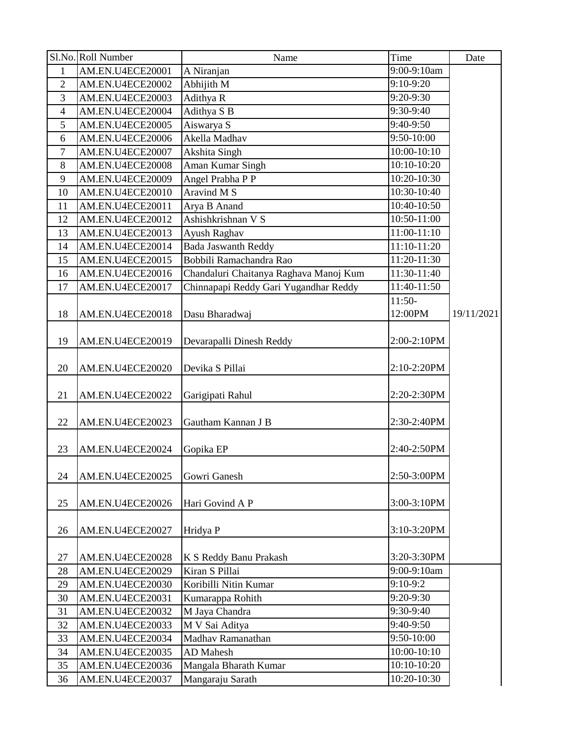|                | Sl.No. Roll Number | Name                                   | Time                     | Date       |
|----------------|--------------------|----------------------------------------|--------------------------|------------|
| $\mathbf{1}$   | AM.EN.U4ECE20001   | A Niranjan                             | 9:00-9:10am              |            |
| $\overline{2}$ | AM.EN.U4ECE20002   | Abhijith M                             | $9:10-9:20$              |            |
| 3              | AM.EN.U4ECE20003   | Adithya R                              | 9:20-9:30                |            |
| $\overline{4}$ | AM.EN.U4ECE20004   | Adithya S B                            | 9:30-9:40                |            |
| 5              | AM.EN.U4ECE20005   | Aiswarya S                             | 9:40-9:50                |            |
| 6              | AM.EN.U4ECE20006   | Akella Madhav                          | 9:50-10:00               |            |
| 7              | AM.EN.U4ECE20007   | Akshita Singh                          | $\overline{10:00-10:10}$ |            |
| 8              | AM.EN.U4ECE20008   | Aman Kumar Singh                       | 10:10-10:20              |            |
| 9              | AM.EN.U4ECE20009   | Angel Prabha P P                       | 10:20-10:30              |            |
| 10             | AM.EN.U4ECE20010   | Aravind M S                            | 10:30-10:40              |            |
| 11             | AM.EN.U4ECE20011   | Arya B Anand                           | 10:40-10:50              |            |
| 12             | AM.EN.U4ECE20012   | Ashishkrishnan V S                     | 10:50-11:00              |            |
| 13             | AM.EN.U4ECE20013   | Ayush Raghav                           | 11:00-11:10              |            |
| 14             | AM.EN.U4ECE20014   | <b>Bada Jaswanth Reddy</b>             | 11:10-11:20              |            |
| 15             | AM.EN.U4ECE20015   | Bobbili Ramachandra Rao                | 11:20-11:30              |            |
| 16             | AM.EN.U4ECE20016   | Chandaluri Chaitanya Raghava Manoj Kum | 11:30-11:40              |            |
| 17             | AM.EN.U4ECE20017   | Chinnapapi Reddy Gari Yugandhar Reddy  | 11:40-11:50              |            |
|                |                    |                                        | $11:50-$                 |            |
| 18             | AM.EN.U4ECE20018   | Dasu Bharadwaj                         | 12:00PM                  | 19/11/2021 |
|                |                    |                                        |                          |            |
| 19             | AM.EN.U4ECE20019   | Devarapalli Dinesh Reddy               | 2:00-2:10PM              |            |
|                |                    |                                        |                          |            |
| 20             | AM.EN.U4ECE20020   | Devika S Pillai                        | 2:10-2:20PM              |            |
|                |                    |                                        |                          |            |
| 21             | AM.EN.U4ECE20022   | Garigipati Rahul                       | 2:20-2:30PM              |            |
|                |                    |                                        |                          |            |
| 22             | AM.EN.U4ECE20023   | Gautham Kannan J B                     | 2:30-2:40PM              |            |
|                |                    |                                        |                          |            |
| 23             | AM.EN.U4ECE20024   | Gopika EP                              | 2:40-2:50PM              |            |
|                |                    |                                        |                          |            |
| 24             | AM.EN.U4ECE20025   | Gowri Ganesh                           | 2:50-3:00PM              |            |
|                |                    |                                        |                          |            |
| 25             | AM.EN.U4ECE20026   | Hari Govind A P                        | 3:00-3:10PM              |            |
|                |                    |                                        |                          |            |
| 26             | AM.EN.U4ECE20027   | Hridya P                               | 3:10-3:20PM              |            |
|                |                    |                                        |                          |            |
| 27             | AM.EN.U4ECE20028   | K S Reddy Banu Prakash                 | 3:20-3:30PM              |            |
| 28             | AM.EN.U4ECE20029   | Kiran S Pillai                         | 9:00-9:10am              |            |
| 29             | AM.EN.U4ECE20030   | Koribilli Nitin Kumar                  | 9:10-9:2                 |            |
| 30             | AM.EN.U4ECE20031   | Kumarappa Rohith                       | 9:20-9:30                |            |
| 31             | AM.EN.U4ECE20032   | M Jaya Chandra                         | 9:30-9:40                |            |
| 32             | AM.EN.U4ECE20033   | M V Sai Aditya                         | 9:40-9:50                |            |
| 33             | AM.EN.U4ECE20034   | Madhav Ramanathan                      | 9:50-10:00               |            |
| 34             | AM.EN.U4ECE20035   | <b>AD</b> Mahesh                       | 10:00-10:10              |            |
| 35             | AM.EN.U4ECE20036   | Mangala Bharath Kumar                  | 10:10-10:20              |            |
| 36             | AM.EN.U4ECE20037   | Mangaraju Sarath                       | 10:20-10:30              |            |